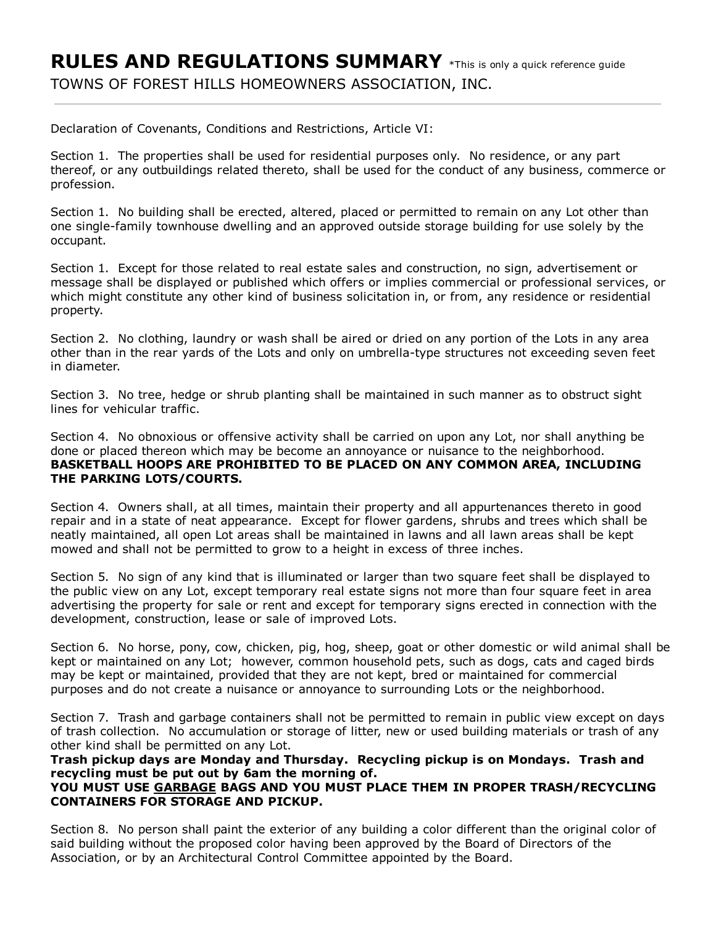Declaration of Covenants, Conditions and Restrictions, Article VI:

Section 1. The properties shall be used for residential purposes only. No residence, or any part thereof, or any outbuildings related thereto, shall be used for the conduct of any business, commerce or profession.

Section 1. No building shall be erected, altered, placed or permitted to remain on any Lot other than one single-family townhouse dwelling and an approved outside storage building for use solely by the occupant.

Section 1. Except for those related to real estate sales and construction, no sign, advertisement or message shall be displayed or published which offers or implies commercial or professional services, or which might constitute any other kind of business solicitation in, or from, any residence or residential property.

Section 2. No clothing, laundry or wash shall be aired or dried on any portion of the Lots in any area other than in the rear yards of the Lots and only on umbrella-type structures not exceeding seven feet in diameter.

Section 3. No tree, hedge or shrub planting shall be maintained in such manner as to obstruct sight lines for vehicular traffic.

Section 4. No obnoxious or offensive activity shall be carried on upon any Lot, nor shall anything be done or placed thereon which may be become an annoyance or nuisance to the neighborhood. BASKETBALL HOOPS ARE PROHIBITED TO BE PLACED ON ANY COMMON AREA, INCLUDING THE PARKING LOTS/COURTS.

Section 4. Owners shall, at all times, maintain their property and all appurtenances thereto in good repair and in a state of neat appearance. Except for flower gardens, shrubs and trees which shall be neatly maintained, all open Lot areas shall be maintained in lawns and all lawn areas shall be kept mowed and shall not be permitted to grow to a height in excess of three inches.

Section 5. No sign of any kind that is illuminated or larger than two square feet shall be displayed to the public view on any Lot, except temporary real estate signs not more than four square feet in area advertising the property for sale or rent and except for temporary signs erected in connection with the development, construction, lease or sale of improved Lots.

Section 6. No horse, pony, cow, chicken, pig, hog, sheep, goat or other domestic or wild animal shall be kept or maintained on any Lot; however, common household pets, such as dogs, cats and caged birds may be kept or maintained, provided that they are not kept, bred or maintained for commercial purposes and do not create a nuisance or annoyance to surrounding Lots or the neighborhood.

Section 7. Trash and garbage containers shall not be permitted to remain in public view except on days of trash collection. No accumulation or storage of litter, new or used building materials or trash of any other kind shall be permitted on any Lot.

Trash pickup days are Monday and Thursday. Recycling pickup is on Mondays. Trash and recycling must be put out by 6am the morning of.

## YOU MUST USE GARBAGE BAGS AND YOU MUST PLACE THEM IN PROPER TRASH/RECYCLING CONTAINERS FOR STORAGE AND PICKUP.

Section 8. No person shall paint the exterior of any building a color different than the original color of said building without the proposed color having been approved by the Board of Directors of the Association, or by an Architectural Control Committee appointed by the Board.